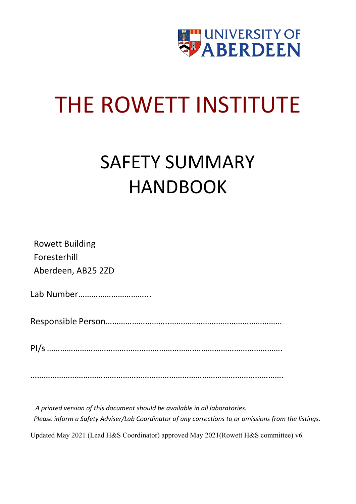

## THE ROWETT INSTITUTE

## SAFETY SUMMARY HANDBOOK

Rowett Building Foresterhill Aberdeen, AB25 2ZD

Lab Number…………………………...

Responsible Person………………………..……………………………………………

PI/s………………………………………………………….………………………………….

…………………………………………………………………………………………………….

*A printed version of this document should be available in all laboratories. Please inform a Safety Adviser/Lab Coordinator of any corrections to or omissions from the listings.*

Updated May 2021 (Lead H&S Coordinator) approved May 2021(Rowett H&S committee) v6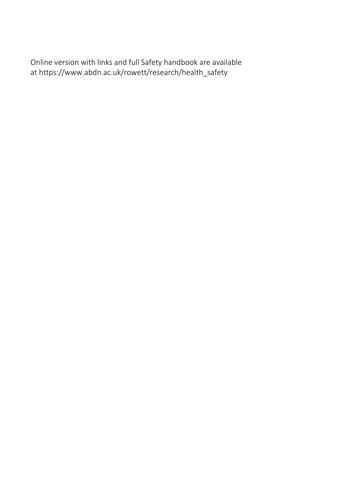Online version with links and [full Safety handbook a](https://www.abdn.ac.uk/rowett/documents/Rowett_Safety_Handbook_v9.pdf#nameddest%3DHandbookIndex)re available at [https://www.abdn.ac.uk/rowett/research/health\\_safety](https://www.abdn.ac.uk/rowett/research/health_safety.php)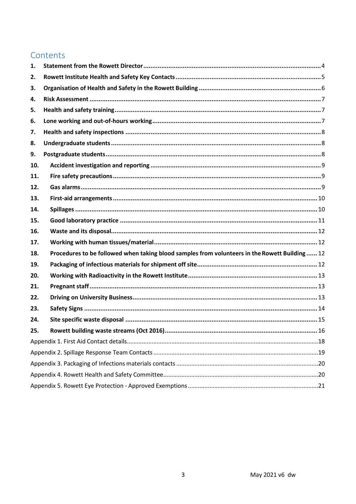#### Contents

| 1.  |                                                                                                |  |  |  |
|-----|------------------------------------------------------------------------------------------------|--|--|--|
| 2.  |                                                                                                |  |  |  |
| З.  |                                                                                                |  |  |  |
| 4.  |                                                                                                |  |  |  |
| 5.  |                                                                                                |  |  |  |
| 6.  |                                                                                                |  |  |  |
| 7.  |                                                                                                |  |  |  |
| 8.  |                                                                                                |  |  |  |
| 9.  |                                                                                                |  |  |  |
| 10. |                                                                                                |  |  |  |
| 11. |                                                                                                |  |  |  |
| 12. |                                                                                                |  |  |  |
| 13. |                                                                                                |  |  |  |
| 14. |                                                                                                |  |  |  |
| 15. |                                                                                                |  |  |  |
| 16. |                                                                                                |  |  |  |
| 17. |                                                                                                |  |  |  |
| 18. | Procedures to be followed when taking blood samples from volunteers in the Rowett Building  12 |  |  |  |
| 19. |                                                                                                |  |  |  |
| 20. |                                                                                                |  |  |  |
| 21. |                                                                                                |  |  |  |
| 22. |                                                                                                |  |  |  |
| 23. |                                                                                                |  |  |  |
| 24. |                                                                                                |  |  |  |
| 25. |                                                                                                |  |  |  |
|     |                                                                                                |  |  |  |
|     |                                                                                                |  |  |  |
|     |                                                                                                |  |  |  |
|     |                                                                                                |  |  |  |
|     |                                                                                                |  |  |  |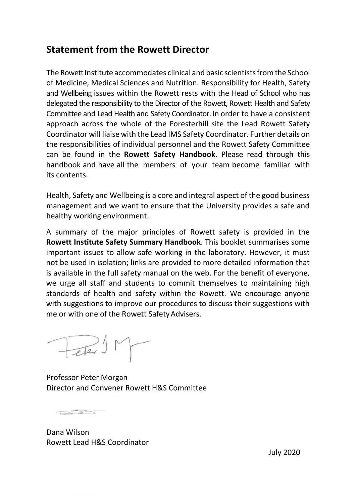#### <span id="page-3-0"></span>**Statement from the Rowett Director**

The Rowett Institute accommodates clinical and basic scientists from the School of Medicine, Medical Sciences and Nutrition. Responsibility for Health, Safety and Wellbeing issues within the Rowett rests with the Head of School who has delegated the responsibility to the Director of the Rowett, Rowett Health and Safety Committee and Lead Health and Safety Coordinator. In order to have a consistent approach across the whole of the Foresterhill site the Lead Rowett Safety Coordinator will liaise with the Lead IMS Safety Coordinator. Further details on the responsibilities of individual personnel and the Rowett Safety Committee can be found in the **Rowett Safety Handbook**. Please read through this handbook and have all the members of your team become familiar with its contents.

Health, Safety and Wellbeing is a core and integral aspect of the good business management and we want to ensure that the University provides a safe and healthy working environment.

A summary of the major principles of Rowett safety is provided in the **Rowett Institute Safety Summary Handbook**. This booklet summarises some important issues to allow safe working in the laboratory. However, it must not be used in isolation; links are provided to more detailed information that is available in the full safety manual on the web. For the benefit of everyone, we urge all staff and students to commit themselves to maintaining high standards of health and safety within the Rowett. We encourage anyone with suggestions to improve our procedures to discuss their suggestions with me or with one of the Rowett Safety Advisers.

Fere SM

Professor Peter Morgan Director and Convener Rowett H&S Committee

 $T \rightarrow T$ 

Dana Wilson Rowett Lead H&S Coordinator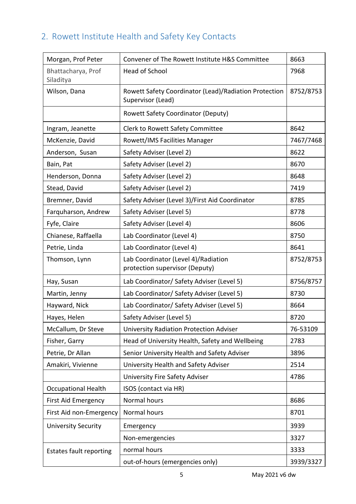#### <span id="page-4-0"></span>2. Rowett Institute Health and Safety Key Contacts

| Morgan, Prof Peter              | Convener of The Rowett Institute H&S Committee                             | 8663      |
|---------------------------------|----------------------------------------------------------------------------|-----------|
| Bhattacharya, Prof<br>Siladitya | Head of School                                                             | 7968      |
| Wilson, Dana                    | Rowett Safety Coordinator (Lead)/Radiation Protection<br>Supervisor (Lead) | 8752/8753 |
|                                 | <b>Rowett Safety Coordinator (Deputy)</b>                                  |           |
| Ingram, Jeanette                | Clerk to Rowett Safety Committee                                           | 8642      |
| McKenzie, David                 | Rowett/IMS Facilities Manager                                              | 7467/7468 |
| Anderson, Susan                 | Safety Adviser (Level 2)                                                   | 8622      |
| Bain, Pat                       | Safety Adviser (Level 2)                                                   | 8670      |
| Henderson, Donna                | Safety Adviser (Level 2)                                                   | 8648      |
| Stead, David                    | Safety Adviser (Level 2)                                                   | 7419      |
| Bremner, David                  | Safety Adviser (Level 3)/First Aid Coordinator                             | 8785      |
| Farquharson, Andrew             | Safety Adviser (Level 5)                                                   | 8778      |
| Fyfe, Claire                    | Safety Adviser (Level 4)                                                   | 8606      |
| Chianese, Raffaella             | Lab Coordinator (Level 4)                                                  | 8750      |
| Petrie, Linda                   | Lab Coordinator (Level 4)                                                  | 8641      |
| Thomson, Lynn                   | Lab Coordinator (Level 4)/Radiation<br>protection supervisor (Deputy)      | 8752/8753 |
| Hay, Susan                      | Lab Coordinator/ Safety Adviser (Level 5)                                  | 8756/8757 |
| Martin, Jenny                   | Lab Coordinator/ Safety Adviser (Level 5)                                  | 8730      |
| Hayward, Nick                   | Lab Coordinator/ Safety Adviser (Level 5)                                  | 8664      |
| Hayes, Helen                    | Safety Adviser (Level 5)                                                   | 8720      |
| McCallum, Dr Steve              | <b>University Radiation Protection Adviser</b>                             | 76-53109  |
| Fisher, Garry                   | Head of University Health, Safety and Wellbeing                            | 2783      |
| Petrie, Dr Allan                | Senior University Health and Safety Adviser                                | 3896      |
| Amakiri, Vivienne               | University Health and Safety Adviser                                       | 2514      |
|                                 | <b>University Fire Safety Adviser</b>                                      | 4786      |
| <b>Occupational Health</b>      | ISOS (contact via HR)                                                      |           |
| First Aid Emergency             | Normal hours                                                               | 8686      |
| First Aid non-Emergency         | Normal hours                                                               | 8701      |
| <b>University Security</b>      | Emergency                                                                  | 3939      |
|                                 | Non-emergencies                                                            | 3327      |
| <b>Estates fault reporting</b>  | normal hours                                                               | 3333      |
|                                 | out-of-hours (emergencies only)                                            | 3939/3327 |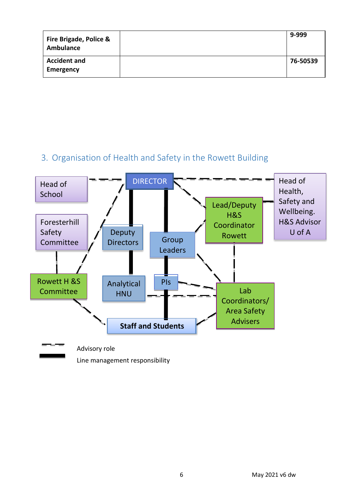| <b>Fire Brigade, Police &amp;</b><br>Ambulance | 9-999    |
|------------------------------------------------|----------|
| <b>Accident and</b><br>Emergency               | 76-50539 |

#### 3. Organisation of Health and Safety in the Rowett Building

<span id="page-5-0"></span>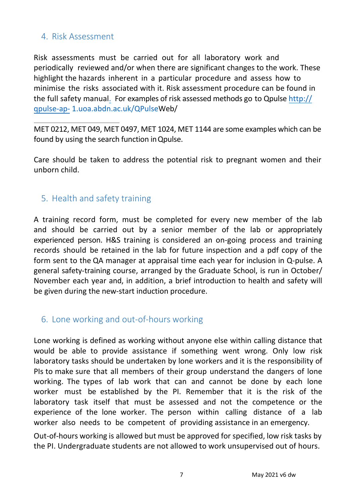#### <span id="page-6-0"></span>4. Risk Assessment

Risk assessments must be carried out for all laboratory work and periodically reviewed and/or when there are significant changes to the work. These highlight the hazards inherent in a particular procedure and assess how to minimise the risks associated with it. Risk assessment procedure can be found in the [full safet](https://www.abdn.ac.uk/rowett/documents/Rowett_safety_handbook_v10_May21.pdf)y manual. For examples of risk assessed methods go to Qpulse [http://](http://qpulse-ap-1.uoa.abdn.ac.uk/QPulse) qpulse-ap- [1.uoa.abdn.ac.uk/QPulseWeb/](http://qpulse-ap-1.uoa.abdn.ac.uk/QPulse)

MET 0212, MET 049, MET 0497, MET 1024, MET 1144 are some examples which can be found by using the search function inQpulse.

Care should be taken to address the potential risk to pregnant women and their unborn child.

#### <span id="page-6-1"></span>5. Health and safety training

A training record form, must be completed for every new member of the lab and should be carried out by a senior member of the lab or appropriately experienced person. H&S training is considered an on-going process and training records should be retained in the lab for future inspection and a pdf copy of the form sent to the QA manager at appraisal time each year for inclusion in Q-pulse. A general safety-training course, arranged by the Graduate School, is run in October/ November each year and, in addition, a brief introduction to health and safety will be given during the new-start induction procedure.

#### <span id="page-6-2"></span>6. Lone working and out-of-hours working

Lone working is defined as working without anyone else within calling distance that would be able to provide assistance if something went wrong. Only low risk laboratory tasks should be undertaken by lone workers and it is the responsibility of PIs to make sure that all members of their group understand the dangers of lone working. The types of lab work that can and cannot be done by each lone worker must be established by the PI. Remember that it is the risk of the laboratory task itself that must be assessed and not the competence or the experience of the lone worker. The person within calling distance of a lab worker also needs to be competent of providing assistance in an emergency.

Out-of-hours working is allowed but must be approved for specified, low risk tasks by the PI. Undergraduate students are not allowed to work unsupervised out of hours.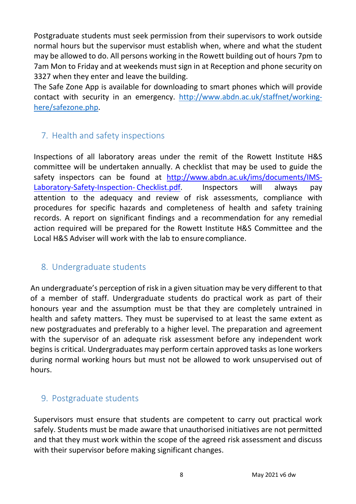Postgraduate students must seek permission from their supervisors to work outside normal hours but the supervisor must establish when, where and what the student may be allowed to do. All persons working in the Rowett building out of hours 7pm to 7am Mon to Friday and at weekends must sign in at Reception and phone security on 3327 when they enter and leave the building.

The Safe Zone App is available for downloading to smart phones which will provide contact with security in an emergency. [http://www.abdn.ac.uk/staffnet/working](http://www.abdn.ac.uk/staffnet/working-here/safezone.php)[here/safezone.php.](http://www.abdn.ac.uk/staffnet/working-here/safezone.php)

#### <span id="page-7-0"></span>7. Health and safety inspections

Inspections of all laboratory areas under the remit of the Rowett Institute H&S committee will be undertaken annually. A checklist that may be used to guide the safety inspectors can be found at [http://www.abdn.ac.uk/ims/documents/IMS-](http://www.abdn.ac.uk/ims/documents/IMS-Laboratory-Safety-Inspection-Checklist.pdf)[Laboratory-Safety-Inspection-](http://www.abdn.ac.uk/ims/documents/IMS-Laboratory-Safety-Inspection-Checklist.pdf)[Checklist.pdf.](http://www.abdn.ac.uk/ims/documents/IMS-Laboratory-Safety-Inspection-Checklist.pdf) Inspectors will always pay attention to the adequacy and review of risk assessments, compliance with procedures for specific hazards and completeness of health and safety training records. A report on significant findings and a recommendation for any remedial action required will be prepared for the Rowett Institute H&S Committee and the Local H&S Adviser will work with the lab to ensurecompliance.

#### <span id="page-7-1"></span>8. Undergraduate students

An undergraduate's perception of risk in a given situation may be very different to that of a member of staff. Undergraduate students do practical work as part of their honours year and the assumption must be that they are completely untrained in health and safety matters. They must be supervised to at least the same extent as new postgraduates and preferably to a higher level. The preparation and agreement with the supervisor of an adequate risk assessment before any independent work begins is critical. Undergraduates may perform certain approved tasks as lone workers during normal working hours but must not be allowed to work unsupervised out of hours.

#### <span id="page-7-2"></span>9. Postgraduate students

Supervisors must ensure that students are competent to carry out practical work safely. Students must be made aware that unauthorised initiatives are not permitted and that they must work within the scope of the agreed risk assessment and discuss with their supervisor before making significant changes.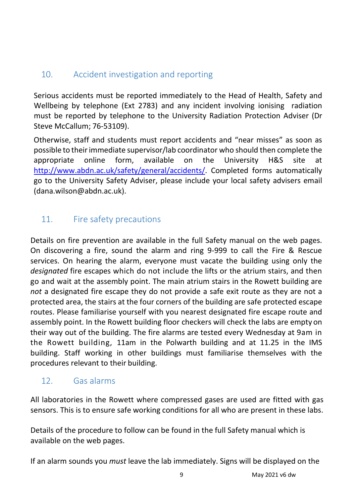#### <span id="page-8-0"></span>10. Accident investigation and reporting

Serious accidents must be reported immediately to the Head of Health, Safety and Wellbeing by telephone (Ext 2783) and any incident involving ionising radiation must be reported by telephone to the University Radiation Protection Adviser (Dr Steve McCallum; 76-53109).

Otherwise, staff and students must report accidents and "near misses" as soon as possible to theirimmediate supervisor/lab coordinator who should then complete the appropriate online form, available on the University H&S site at [http://www.abdn.ac.uk/safety/general/accidents/.](http://www.abdn.ac.uk/safety/general/accidents/) Completed forms automatically go to the University Safety Adviser, please include your local safety advisers email (dana.wilson@abdn.ac.uk).

#### <span id="page-8-1"></span>11. Fire safety precautions

Details on fire prevention are available in the full Safety manual on the web pages. On discovering a fire, sound the alarm and ring 9-999 to call the Fire & Rescue services. On hearing the alarm, everyone must vacate the building using only the *designated* fire escapes which do not include the lifts or the atrium stairs, and then go and wait at the assembly point. The main atrium stairs in the Rowett building are *not* a designated fire escape they do not provide a safe exit route as they are not a protected area, the stairs at the four corners of the building are safe protected escape routes. Please familiarise yourself with you nearest designated fire escape route and assembly point. In the Rowett building floor checkers will check the labs are empty on their way out of the building. The fire alarms are tested every Wednesday at 9am in the Rowett building, 11am in the Polwarth building and at 11.25 in the IMS building. Staff working in other buildings must familiarise themselves with the procedures relevant to their building.

#### <span id="page-8-2"></span>12. Gas alarms

All laboratories in the Rowett where compressed gases are used are fitted with gas sensors. This is to ensure safe working conditions for all who are present in these labs.

Details of the procedure to follow can be found in the full Safety manual which is available on the web pages.

If an alarm sounds you *must* leave the lab immediately. Signs will be displayed on the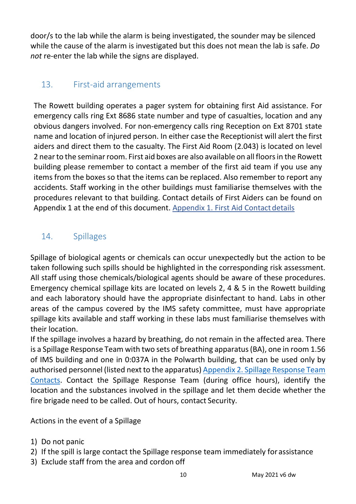door/s to the lab while the alarm is being investigated, the sounder may be silenced while the cause of the alarm is investigated but this does not mean the lab is safe. *Do not* re-enter the lab while the signs are displayed.

#### <span id="page-9-0"></span>13. First-aid arrangements

The Rowett building operates a pager system for obtaining first Aid assistance. For emergency calls ring Ext 8686 state number and type of casualties, location and any obvious dangers involved. For non-emergency calls ring Reception on Ext 8701 state name and location of injured person. In either case the Receptionist will alert the first aiders and direct them to the casualty. The First Aid Room (2.043) is located on level 2 near to the seminar room. First aid boxes are also available on all floors in the Rowett building please remember to contact a member of the first aid team if you use any items from the boxes so that the items can be replaced. Also remember to report any accidents. Staff working in the other buildings must familiarise themselves with the procedures relevant to that building. Contact details of First Aiders can be found on Appendix 1 at the end of this document. Appendix 1. First Aid Contact details

#### <span id="page-9-1"></span>14. Spillages

Spillage of biological agents or chemicals can occur unexpectedly but the action to be taken following such spills should be highlighted in the corresponding risk assessment. All staff using those chemicals/biological agents should be aware of these procedures. Emergency chemical spillage kits are located on levels 2, 4 & 5 in the Rowett building and each laboratory should have the appropriate disinfectant to hand. Labs in other areas of the campus covered by the IMS safety committee, must have appropriate spillage kits available and staff working in these labs must familiarise themselves with their location.

If the spillage involves a hazard by breathing, do not remain in the affected area. There is a Spillage Response Team with two sets of breathing apparatus(BA), one in room 1.56 of IMS building and one in 0:037A in the Polwarth building, that can be used only by authorised personnel (listed next to the apparatus) Appendix 2. Spillage [Response](#page-18-0) Team [Contacts.](#page-18-0) Contact the Spillage Response Team (during office hours), identify the location and the substances involved in the spillage and let them decide whether the fire brigade need to be called. Out of hours, contact Security.

Actions in the event of a Spillage

- 1) Do not panic
- 2) If the spill is large contact the Spillage response team immediately for assistance
- 3) Exclude staff from the area and cordon off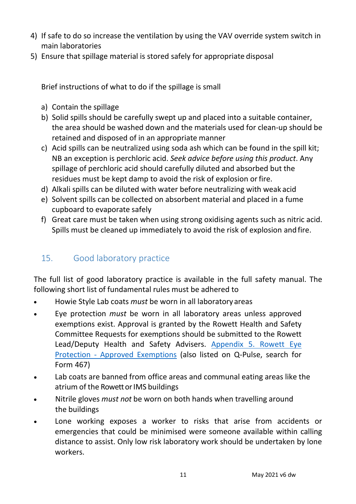- 4) If safe to do so increase the ventilation by using the VAV override system switch in main laboratories
- 5) Ensure that spillage material is stored safely for appropriate disposal

Brief instructions of what to do if the spillage is small

- a) Contain the spillage
- b) Solid spills should be carefully swept up and placed into a suitable container, the area should be washed down and the materials used for clean-up should be retained and disposed of in an appropriate manner
- c) Acid spills can be neutralized using soda ash which can be found in the spill kit; NB an exception is perchloric acid. *Seek advice before using this product*. Any spillage of perchloric acid should carefully diluted and absorbed but the residues must be kept damp to avoid the risk of explosion or fire.
- d) Alkali spills can be diluted with water before neutralizing with weak acid
- e) Solvent spills can be collected on absorbent material and placed in a fume cupboard to evaporate safely
- f) Great care must be taken when using strong oxidising agents such as nitric acid. Spills must be cleaned up immediately to avoid the risk of explosion and fire.

#### <span id="page-10-0"></span>15. Good laboratory practice

The full list of good laboratory practice is available in the full safety manual. The following short list of fundamental rules must be adhered to

- Howie Style Lab coats *must* be worn in all laboratoryareas
- Eye protection *must* be worn in all laboratory areas unless approved exemptions exist. Approval is granted by the Rowett Health and Safety Committee Requests for exemptions should be submitted to the Rowett Lead/Deputy Health and Safety Advisers. [Appendix 5. Rowett Eye](#page-20-0) Protection - [Approved Exemptions](#page-20-0) (also listed on Q-Pulse, search for Form 467)
- Lab coats are banned from office areas and communal eating areas like the atrium of the Rowett or IMS buildings
- Nitrile gloves *must not* be worn on both hands when travelling around the buildings
- Lone working exposes a worker to risks that arise from accidents or emergencies that could be minimised were someone available within calling distance to assist. Only low risk laboratory work should be undertaken by lone workers.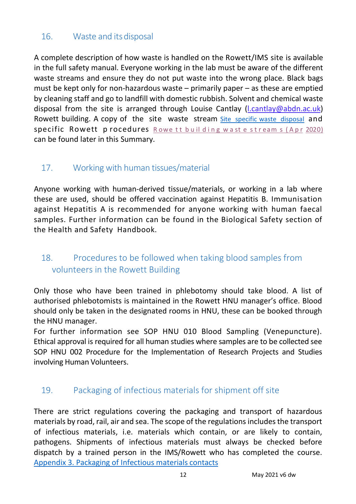#### <span id="page-11-0"></span>16. Waste and itsdisposal

A complete description of how waste is handled on the Rowett/IMS site is available in the full safety manual. Everyone working in the lab must be aware of the different waste streams and ensure they do not put waste into the wrong place. Black bags must be kept only for non-hazardous waste – primarily paper – as these are emptied by cleaning staff and go to landfill with domestic rubbish. Solvent and chemical waste disposal from the site is arranged through Louise Cantlay (*l.cantlay@abdn.ac.uk*) Rowett building. A copy of the site waste stream [Site specific waste disposal](#page-14-0) and specific Rowett procedures Rowe tt building waste stream s (Apr 2020) can be found later in this Summary.

#### <span id="page-11-1"></span>17. Working with human tissues/material

Anyone working with human-derived tissue/materials, or working in a lab where these are used, should be offered vaccination against Hepatitis B. Immunisation against Hepatitis A is recommended for anyone working with human faecal samples. Further information can be found in the Biological Safety section of the Health and Safety Handbook.

#### <span id="page-11-2"></span>18. Procedures to be followed when taking blood samples from volunteers in the Rowett Building

Only those who have been trained in phlebotomy should take blood. A list of authorised phlebotomists is maintained in the Rowett HNU manager's office. Blood should only be taken in the designated rooms in HNU, these can be booked through the HNU manager.

For further information see SOP HNU 010 Blood Sampling (Venepuncture). Ethical approval is required for all human studies where samples are to be collected see SOP HNU 002 Procedure for the Implementation of Research Projects and Studies involving Human Volunteers.

#### <span id="page-11-3"></span>19. Packaging of infectious materials for shipment off site

There are strict regulations covering the packaging and transport of hazardous materials by road, rail, air and sea. The scope of the regulations includes the transport of infectious materials, i.e. materials which contain, or are likely to contain, pathogens. Shipments of infectious materials must always be checked before dispatch by a trained person in the IMS/Rowett who has completed the course. [Appendix 3. Packaging of Infectious materials](#page-19-0) contacts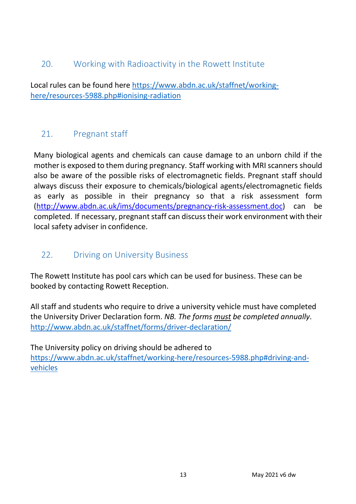#### <span id="page-12-0"></span>20. Working with Radioactivity in the Rowett Institute

Local rules can be found here [https://www.abdn.ac.uk/staffnet/working](https://www.abdn.ac.uk/staffnet/working-here/resources-5988.php#ionising-radiation)[here/resources-5988.php#ionising-radiation](https://www.abdn.ac.uk/staffnet/working-here/resources-5988.php#ionising-radiation)

#### <span id="page-12-1"></span>21. Pregnant staff

Many biological agents and chemicals can cause damage to an unborn child if the mother is exposed to them during pregnancy. Staff working with MRI scanners should also be aware of the possible risks of electromagnetic fields. Pregnant staff should always discuss their exposure to chemicals/biological agents/electromagnetic fields as early as possible in their pregnancy so that a risk assessment form [\(http://www.abdn.ac.uk/ims/documents/pregnancy-risk-assessment.doc\)](http://www.abdn.ac.uk/ims/documents/pregnancy-risk-assessment.doc) can be completed. If necessary, pregnant staff can discuss their work environment with their local safety adviser in confidence.

#### <span id="page-12-2"></span>22. Driving on University Business

The Rowett Institute has pool cars which can be used for business. These can be booked by contacting Rowett Reception.

All staff and students who require to drive a university vehicle must have completed the University Driver Declaration form. *NB. The forms must be completed annually*. <http://www.abdn.ac.uk/staffnet/forms/driver-declaration/>

The University policy on driving should be adhered to [https://www.abdn.ac.uk/staffnet/working-here/resources-5988.php#driving-and](https://www.abdn.ac.uk/staffnet/working-here/resources-5988.php#driving-and-vehicles)[vehicles](https://www.abdn.ac.uk/staffnet/working-here/resources-5988.php#driving-and-vehicles)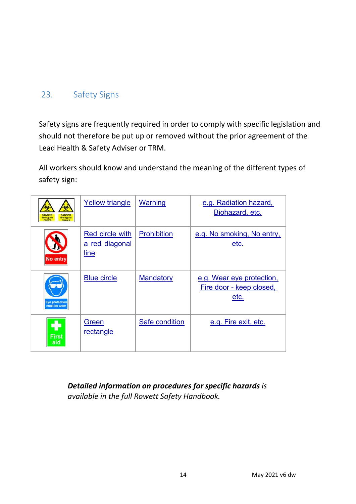#### <span id="page-13-0"></span>23. Safety Signs

Safety signs are frequently required in order to comply with specific legislation and should not therefore be put up or removed without the prior agreement of the Lead Health & Safety Adviser or TRM.

All workers should know and understand the meaning of the different types of safety sign:

| <b>DANGEI</b><br><b>DANGER</b><br>Biological<br>Biological<br>hozard<br>hazard | <b>Yellow triangle</b>                           | Warning            | e.g. Radiation hazard,<br>Biohazard, etc.                     |
|--------------------------------------------------------------------------------|--------------------------------------------------|--------------------|---------------------------------------------------------------|
| <b>No entry</b>                                                                | Red circle with<br>a red diagonal<br><u>line</u> | <b>Prohibition</b> | e.g. No smoking, No entry,<br>etc.                            |
| <b>ve</b> protection<br>nust be worn                                           | <b>Blue circle</b>                               | <b>Mandatory</b>   | e.g. Wear eye protection,<br>Fire door - keep closed,<br>etc. |
| First<br>aid                                                                   | Green<br>rectangle                               | Safe condition     | e.g. Fire exit, etc.                                          |

*Detailed information on procedures for specific hazards is available in the full Rowett Safety Handbook.*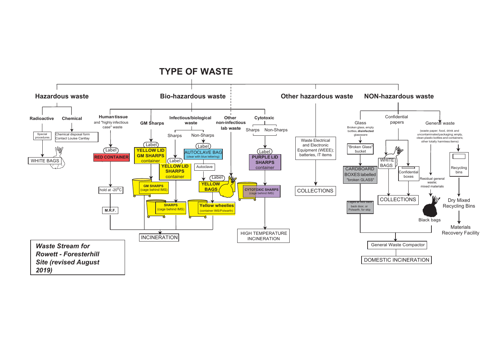<span id="page-14-0"></span>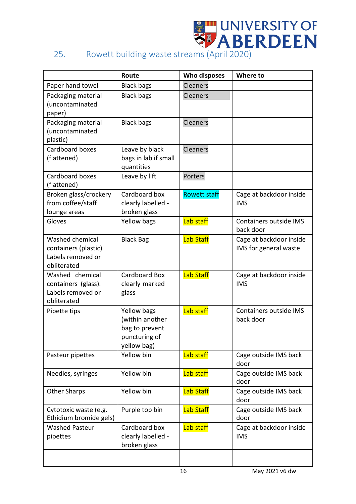# <sup>22</sup> UNIVERSITY OF<br>25. Rowett building waste streams (April 2020)

<span id="page-15-0"></span>

|                                                                             | Route                                                                            | Who disposes        | Where to                                         |
|-----------------------------------------------------------------------------|----------------------------------------------------------------------------------|---------------------|--------------------------------------------------|
| Paper hand towel                                                            | <b>Black bags</b>                                                                | <b>Cleaners</b>     |                                                  |
| Packaging material<br>(uncontaminated<br>paper)                             | <b>Black bags</b>                                                                | Cleaners            |                                                  |
| Packaging material<br>(uncontaminated<br>plastic)                           | <b>Black bags</b>                                                                | Cleaners            |                                                  |
| Cardboard boxes<br>(flattened)                                              | Leave by black<br>bags in lab if small<br>quantities                             | Cleaners            |                                                  |
| Cardboard boxes<br>(flattened)                                              | Leave by lift                                                                    | Porters             |                                                  |
| Broken glass/crockery<br>from coffee/staff<br>lounge areas                  | Cardboard box<br>clearly labelled -<br>broken glass                              | <b>Rowett staff</b> | Cage at backdoor inside<br><b>IMS</b>            |
| Gloves                                                                      | Yellow bags                                                                      | Lab staff           | Containers outside IMS<br>back door              |
| Washed chemical<br>containers (plastic)<br>Labels removed or<br>obliterated | <b>Black Bag</b>                                                                 | <b>Lab Staff</b>    | Cage at backdoor inside<br>IMS for general waste |
| Washed chemical<br>containers (glass).<br>Labels removed or<br>obliterated  | Cardboard Box<br>clearly marked<br>glass                                         | <b>Lab Staff</b>    | Cage at backdoor inside<br><b>IMS</b>            |
| Pipette tips                                                                | Yellow bags<br>(within another<br>bag to prevent<br>puncturing of<br>yellow bag) | Lab staff           | Containers outside IMS<br>back door              |
| Pasteur pipettes                                                            | Yellow bin                                                                       | Lab staff           | Cage outside IMS back<br>door                    |
| Needles, syringes                                                           | Yellow bin                                                                       | Lab staff           | Cage outside IMS back<br>door                    |
| <b>Other Sharps</b>                                                         | Yellow bin                                                                       | <b>Lab Staff</b>    | Cage outside IMS back<br>door                    |
| Cytotoxic waste (e.g.<br>Ethidium bromide gels)                             | Purple top bin                                                                   | <b>Lab Staff</b>    | Cage outside IMS back<br>door                    |
| <b>Washed Pasteur</b><br>pipettes                                           | Cardboard box<br>clearly labelled -<br>broken glass                              | Lab staff           | Cage at backdoor inside<br><b>IMS</b>            |
|                                                                             |                                                                                  |                     |                                                  |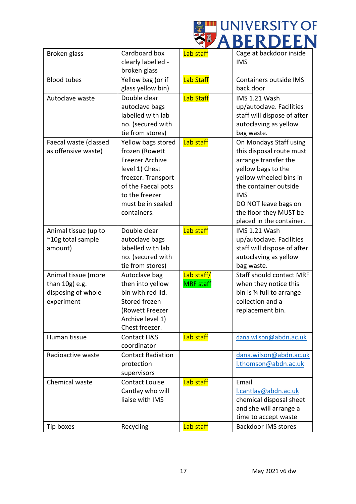

| Broken glass          | Cardboard box            | <b>Lab staff</b> | Cage at backdoor inside         |
|-----------------------|--------------------------|------------------|---------------------------------|
|                       | clearly labelled -       |                  | <b>IMS</b>                      |
|                       | broken glass             |                  |                                 |
| <b>Blood tubes</b>    | Yellow bag (or if        | <b>Lab Staff</b> | Containers outside IMS          |
|                       | glass yellow bin)        |                  | back door                       |
| Autoclave waste       | Double clear             | <b>Lab Staff</b> | IMS 1.21 Wash                   |
|                       | autoclave bags           |                  | up/autoclave. Facilities        |
|                       | labelled with lab        |                  | staff will dispose of after     |
|                       | no. (secured with        |                  | autoclaving as yellow           |
|                       | tie from stores)         |                  | bag waste.                      |
|                       |                          |                  |                                 |
| Faecal waste (classed | Yellow bags stored       | Lab staff        | On Mondays Staff using          |
| as offensive waste)   | frozen (Rowett           |                  | this disposal route must        |
|                       | <b>Freezer Archive</b>   |                  | arrange transfer the            |
|                       | level 1) Chest           |                  | yellow bags to the              |
|                       | freezer. Transport       |                  | yellow wheeled bins in          |
|                       | of the Faecal pots       |                  | the container outside           |
|                       | to the freezer           |                  | <b>IMS</b>                      |
|                       | must be in sealed        |                  | DO NOT leave bags on            |
|                       | containers.              |                  | the floor they MUST be          |
|                       |                          |                  | placed in the container.        |
| Animal tissue (up to  | Double clear             | <b>Lab staff</b> | IMS 1.21 Wash                   |
| ~10g total sample     | autoclave bags           |                  | up/autoclave. Facilities        |
| amount)               | labelled with lab        |                  | staff will dispose of after     |
|                       | no. (secured with        |                  | autoclaving as yellow           |
|                       | tie from stores)         |                  | bag waste.                      |
| Animal tissue (more   | Autoclave bag            | Lab staff/       | <b>Staff should contact MRF</b> |
| than 10g) e.g.        | then into yellow         | <b>MRF</b> staff | when they notice this           |
| disposing of whole    | bin with red lid.        |                  | bin is % full to arrange        |
|                       | Stored frozen            |                  | collection and a                |
| experiment            |                          |                  |                                 |
|                       | (Rowett Freezer          |                  | replacement bin.                |
|                       | Archive level 1)         |                  |                                 |
|                       | Chest freezer.           |                  |                                 |
| Human tissue          | <b>Contact H&amp;S</b>   | Lab staff        | dana.wilson@abdn.ac.uk          |
|                       | coordinator              |                  |                                 |
| Radioactive waste     | <b>Contact Radiation</b> |                  | dana.wilson@abdn.ac.uk          |
|                       | protection               |                  | I.thomson@abdn.ac.uk            |
|                       | supervisors              |                  |                                 |
| Chemical waste        | <b>Contact Louise</b>    | Lab staff        | Email                           |
|                       | Cantlay who will         |                  | l.cantlay@abdn.ac.uk            |
|                       | liaise with IMS          |                  | chemical disposal sheet         |
|                       |                          |                  | and she will arrange a          |
|                       |                          |                  | time to accept waste            |
|                       |                          |                  |                                 |
| Tip boxes             | Recycling                | Lab staff        | <b>Backdoor IMS stores</b>      |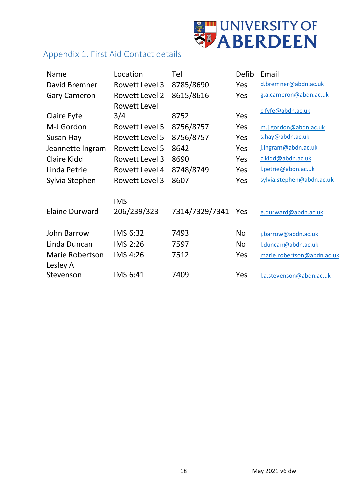

#### <span id="page-17-0"></span>Appendix 1. First Aid Contact details

| Name                   | Location       | Tel            | Defib     | Email                      |
|------------------------|----------------|----------------|-----------|----------------------------|
| David Bremner          | Rowett Level 3 | 8785/8690      | Yes       | d.bremner@abdn.ac.uk       |
| <b>Gary Cameron</b>    | Rowett Level 2 | 8615/8616      | Yes       | g.a.cameron@abdn.ac.uk     |
|                        | Rowett Level   |                |           |                            |
| Claire Fyfe            | 3/4            | 8752           | Yes       | c.fyfe@abdn.ac.uk          |
| M-J Gordon             | Rowett Level 5 | 8756/8757      | Yes       | m.j.gordon@abdn.ac.uk      |
| Susan Hay              | Rowett Level 5 | 8756/8757      | Yes       | s.hay@abdn.ac.uk           |
| Jeannette Ingram       | Rowett Level 5 | 8642           | Yes       | j.ingram@abdn.ac.uk        |
| <b>Claire Kidd</b>     | Rowett Level 3 | 8690           | Yes       | c.kidd@abdn.ac.uk          |
| Linda Petrie           | Rowett Level 4 | 8748/8749      | Yes       | I.petrie@abdn.ac.uk        |
| Sylvia Stephen         | Rowett Level 3 | 8607           | Yes       | sylvia.stephen@abdn.ac.uk  |
|                        | <b>IMS</b>     |                |           |                            |
| <b>Elaine Durward</b>  | 206/239/323    | 7314/7329/7341 | Yes       | e.durward@abdn.ac.uk       |
| <b>John Barrow</b>     | IMS 6:32       | 7493           | <b>No</b> | j.barrow@abdn.ac.uk        |
| Linda Duncan           | IMS 2:26       | 7597           | <b>No</b> | I.duncan@abdn.ac.uk        |
| <b>Marie Robertson</b> | IMS 4:26       | 7512           | Yes       | marie.robertson@abdn.ac.uk |
| Lesley A               |                |                |           |                            |
| Stevenson              | IMS 6:41       | 7409           | Yes       | l.a.stevenson@abdn.ac.uk   |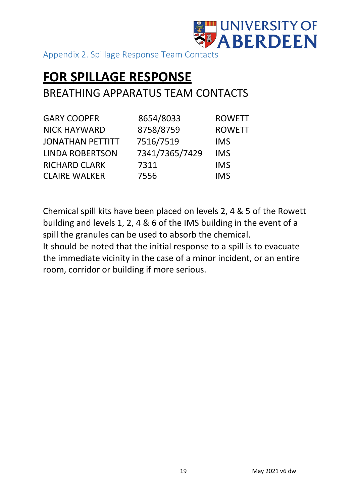

<span id="page-18-0"></span>Appendix 2. Spillage Response Team Contacts

### **FOR SPILLAGE RESPONSE**

#### BREATHING APPARATUS TEAM CONTACTS

| <b>GARY COOPER</b>      | 8654/8033      | <b>ROWETT</b> |
|-------------------------|----------------|---------------|
| <b>NICK HAYWARD</b>     | 8758/8759      | <b>ROWETT</b> |
| <b>JONATHAN PETTITT</b> | 7516/7519      | <b>IMS</b>    |
| <b>LINDA ROBERTSON</b>  | 7341/7365/7429 | <b>IMS</b>    |
| <b>RICHARD CLARK</b>    | 7311           | <b>IMS</b>    |
| <b>CLAIRE WALKER</b>    | 7556           | <b>IMS</b>    |

Chemical spill kits have been placed on levels 2, 4 & 5 of the Rowett building and levels 1, 2, 4 & 6 of the IMS building in the event of a spill the granules can be used to absorb the chemical.

It should be noted that the initial response to a spill is to evacuate the immediate vicinity in the case of a minor incident, or an entire room, corridor or building if more serious.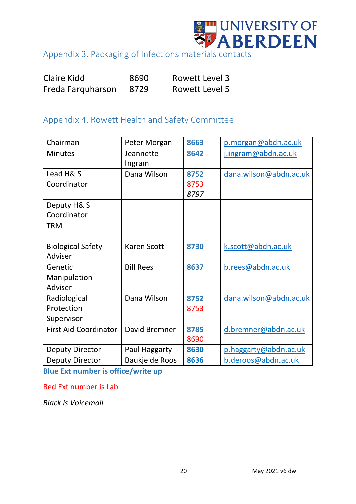

<span id="page-19-0"></span>Appendix 3. Packaging of Infections materials contacts

| Claire Kidd       | 8690 | Rowett Level 3 |
|-------------------|------|----------------|
| Freda Farquharson | 8729 | Rowett Level 5 |

#### <span id="page-19-1"></span>Appendix 4. Rowett Health and Safety Committee

| Chairman                     | Peter Morgan        | 8663 | p.morgan@abdn.ac.uk    |
|------------------------------|---------------------|------|------------------------|
| <b>Minutes</b>               | Jeannette<br>Ingram | 8642 | j.ingram@abdn.ac.uk    |
| Lead H& S                    | Dana Wilson         | 8752 | dana.wilson@abdn.ac.uk |
| Coordinator                  |                     | 8753 |                        |
|                              |                     | 8797 |                        |
| Deputy H& S                  |                     |      |                        |
| Coordinator                  |                     |      |                        |
| <b>TRM</b>                   |                     |      |                        |
|                              |                     |      |                        |
| <b>Biological Safety</b>     | <b>Karen Scott</b>  | 8730 | k.scott@abdn.ac.uk     |
| <b>Adviser</b>               |                     |      |                        |
| Genetic                      | <b>Bill Rees</b>    | 8637 | b.rees@abdn.ac.uk      |
| Manipulation                 |                     |      |                        |
| Adviser                      |                     |      |                        |
| Radiological                 | Dana Wilson         | 8752 | dana.wilson@abdn.ac.uk |
| Protection                   |                     | 8753 |                        |
| Supervisor                   |                     |      |                        |
| <b>First Aid Coordinator</b> | David Bremner       | 8785 | d.bremner@abdn.ac.uk   |
|                              |                     | 8690 |                        |
| <b>Deputy Director</b>       | Paul Haggarty       | 8630 | p.haggarty@abdn.ac.uk  |
| <b>Deputy Director</b>       | Baukje de Roos      | 8636 | b.deroos@abdn.ac.uk    |

**Blue Ext number is office/write up**

Red Ext number is Lab

*Black is Voicemail*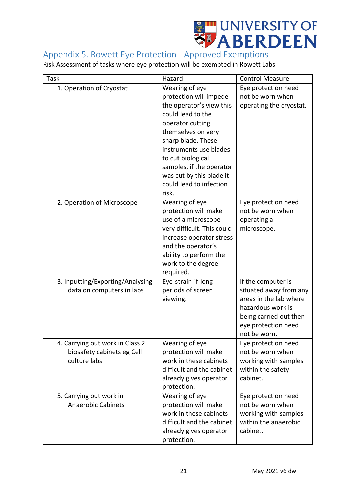

#### <span id="page-20-0"></span>Appendix 5. Rowett Eye Protection - Approved Exemptions

Risk Assessment of tasks where eye protection will be exempted in Rowett Labs

| Task                             | Hazard                     | <b>Control Measure</b>  |
|----------------------------------|----------------------------|-------------------------|
|                                  |                            |                         |
| 1. Operation of Cryostat         | Wearing of eye             | Eye protection need     |
|                                  | protection will impede     | not be worn when        |
|                                  | the operator's view this   | operating the cryostat. |
|                                  | could lead to the          |                         |
|                                  | operator cutting           |                         |
|                                  | themselves on very         |                         |
|                                  | sharp blade. These         |                         |
|                                  | instruments use blades     |                         |
|                                  | to cut biological          |                         |
|                                  | samples, if the operator   |                         |
|                                  | was cut by this blade it   |                         |
|                                  | could lead to infection    |                         |
|                                  | risk.                      |                         |
| 2. Operation of Microscope       | Wearing of eye             | Eye protection need     |
|                                  | protection will make       | not be worn when        |
|                                  | use of a microscope        | operating a             |
|                                  | very difficult. This could | microscope.             |
|                                  | increase operator stress   |                         |
|                                  | and the operator's         |                         |
|                                  | ability to perform the     |                         |
|                                  | work to the degree         |                         |
|                                  | required.                  |                         |
| 3. Inputting/Exporting/Analysing | Eye strain if long         | If the computer is      |
| data on computers in labs        | periods of screen          | situated away from any  |
|                                  | viewing.                   | areas in the lab where  |
|                                  |                            | hazardous work is       |
|                                  |                            |                         |
|                                  |                            | being carried out then  |
|                                  |                            | eye protection need     |
|                                  |                            | not be worn.            |
| 4. Carrying out work in Class 2  | Wearing of eye             | Eye protection need     |
| biosafety cabinets eg Cell       | protection will make       | not be worn when        |
| culture labs                     | work in these cabinets     | working with samples    |
|                                  | difficult and the cabinet  | within the safety       |
|                                  | already gives operator     | cabinet.                |
|                                  | protection.                |                         |
| 5. Carrying out work in          | Wearing of eye             | Eye protection need     |
| <b>Anaerobic Cabinets</b>        | protection will make       | not be worn when        |
|                                  | work in these cabinets     | working with samples    |
|                                  | difficult and the cabinet  | within the anaerobic    |
|                                  | already gives operator     | cabinet.                |
|                                  | protection.                |                         |